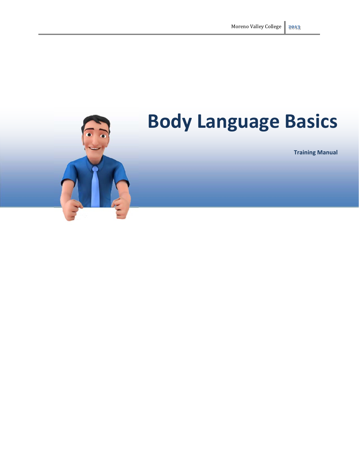

# **Body Language Basics**

**Training Manual**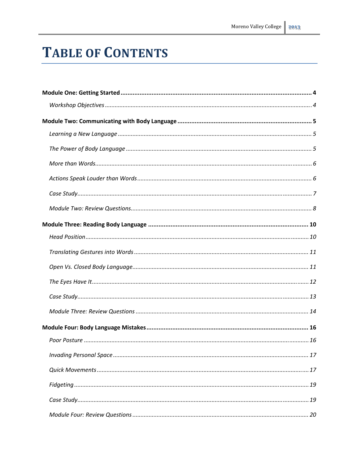## **TABLE OF CONTENTS**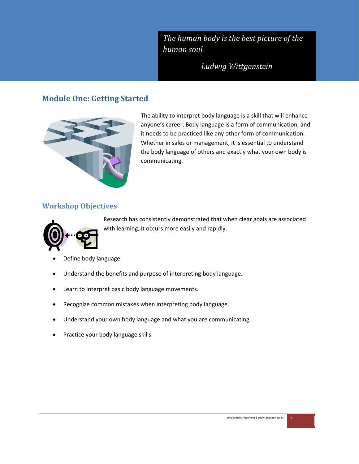*The human body is the best picture of the human soul.*

*Ludwig Wittgenstein*

## **Module One: Getting Started**



The ability to interpret body language is a skill that will enhance anyone's career. Body language is a form of communication, and it needs to be practiced like any other form of communication. Whether in sales or management, it is essential to understand the body language of others and exactly what your own body is communicating.

## **Workshop Objectives**



Research has consistently demonstrated that when clear goals are associated with learning, it occurs more easily and rapidly.

- Define body language.
- Understand the benefits and purpose of interpreting body language.
- Learn to interpret basic body language movements.
- Recognize common mistakes when interpreting body language.
- Understand your own body language and what you are communicating.
- Practice your body language skills.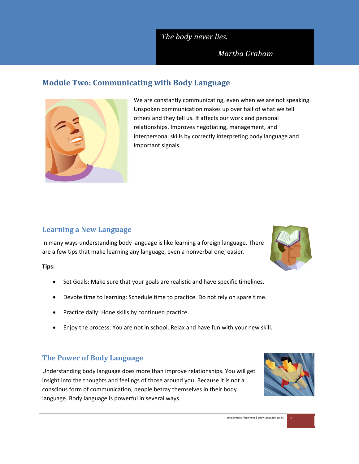## *The body never lies.*

## *Martha Graham*

## **Module Two: Communicating with Body Language**



We are constantly communicating, even when we are not speaking. Unspoken communication makes up over half of what we tell others and they tell us. It affects our work and personal relationships. Improves negotiating, management, and interpersonal skills by correctly interpreting body language and important signals.

## **Learning a New Language**

In many ways understanding body language is like learning a foreign language. There are a few tips that make learning any language, even a nonverbal one, easier.

**Tips:**

- Set Goals: Make sure that your goals are realistic and have specific timelines.
- Devote time to learning: Schedule time to practice. Do not rely on spare time.
- Practice daily: Hone skills by continued practice.
- Enjoy the process: You are not in school. Relax and have fun with your new skill.

## **The Power of Body Language**

Understanding body language does more than improve relationships. You will get insight into the thoughts and feelings of those around you. Because it is not a conscious form of communication, people betray themselves in their body language. Body language is powerful in several ways.



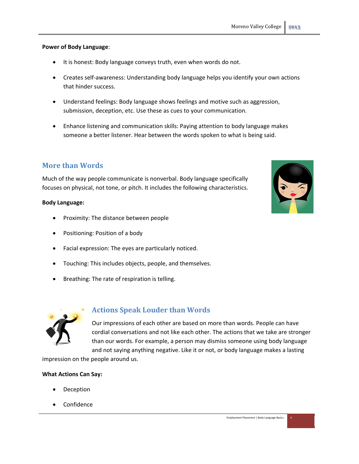**Power of Body Language**:

- It is honest: Body language conveys truth, even when words do not.
- Creates self-awareness: Understanding body language helps you identify your own actions that hinder success.
- Understand feelings: Body language shows feelings and motive such as aggression, submission, deception, etc. Use these as cues to your communication.
- Enhance listening and communication skills: Paying attention to body language makes someone a better listener. Hear between the words spoken to what is being said.

## **More than Words**

Much of the way people communicate is nonverbal. Body language specifically focuses on physical, not tone, or pitch. It includes the following characteristics.

#### **Body Language:**

- Proximity: The distance between people
- Positioning: Position of a body
- Facial expression: The eyes are particularly noticed.
- Touching: This includes objects, people, and themselves.
- Breathing: The rate of respiration is telling.



## **Actions Speak Louder than Words**

Our impressions of each other are based on more than words. People can have cordial conversations and not like each other. The actions that we take are stronger than our words. For example, a person may dismiss someone using body language and not saying anything negative. Like it or not, or body language makes a lasting

impression on the people around us.

#### **What Actions Can Say:**

- Deception
- Confidence

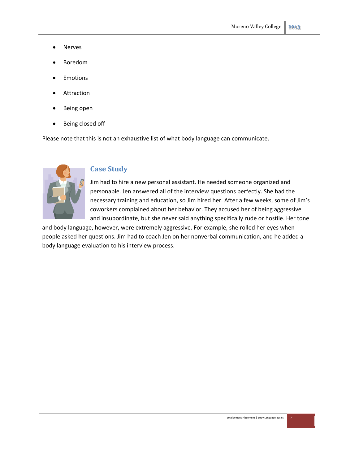- Nerves
- Boredom
- Emotions
- Attraction
- Being open
- Being closed off

Please note that this is not an exhaustive list of what body language can communicate.



#### **Case Study**

Jim had to hire a new personal assistant. He needed someone organized and personable. Jen answered all of the interview questions perfectly. She had the necessary training and education, so Jim hired her. After a few weeks, some of Jim's coworkers complained about her behavior. They accused her of being aggressive and insubordinate, but she never said anything specifically rude or hostile. Her tone

and body language, however, were extremely aggressive. For example, she rolled her eyes when people asked her questions. Jim had to coach Jen on her nonverbal communication, and he added a body language evaluation to his interview process.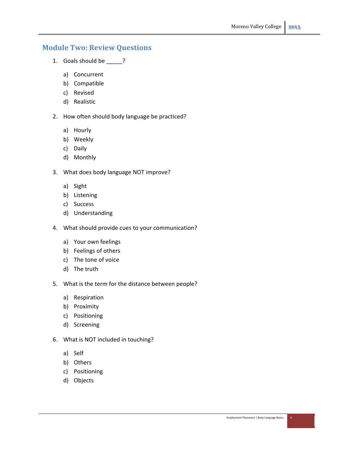## **Module Two: Review Questions**

- 1. Goals should be \_\_\_\_\_?
	- a) Concurrent
	- b) Compatible
	- c) Revised
	- d) Realistic
- 2. How often should body language be practiced?
	- a) Hourly
	- b) Weekly
	- c) Daily
	- d) Monthly
- 3. What does body language NOT improve?
	- a) Sight
	- b) Listening
	- c) Success
	- d) Understanding
- 4. What should provide cues to your communication?
	- a) Your own feelings
	- b) Feelings of others
	- c) The tone of voice
	- d) The truth
- 5. What is the term for the distance between people?
	- a) Respiration
	- b) Proximity
	- c) Positioning
	- d) Screening
- 6. What is NOT included in touching?
	- a) Self
	- b) Others
	- c) Positioning
	- d) Objects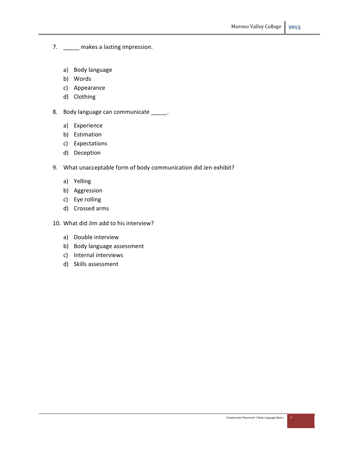- 7. \_\_\_\_\_ makes a lasting impression.
	- a) Body language
	- b) Words
	- c) Appearance
	- d) Clothing
- 8. Body language can communicate \_\_\_\_\_.
	- a) Experience
	- b) Estimation
	- c) Expectations
	- d) Deception
- 9. What unacceptable form of body communication did Jen exhibit?
	- a) Yelling
	- b) Aggression
	- c) Eye rolling
	- d) Crossed arms
- 10. What did Jim add to his interview?
	- a) Double interview
	- b) Body language assessment
	- c) Internal interviews
	- d) Skills assessment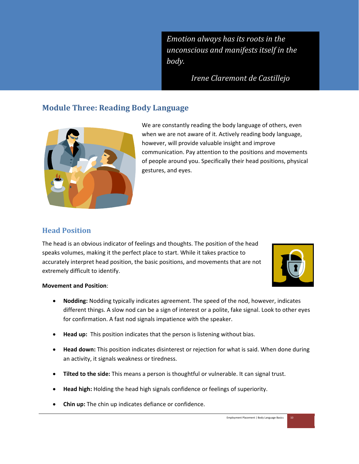*Emotion always has its roots in the unconscious and manifests itself in the body.*

*Irene Claremont de Castillejo*

## **Module Three: Reading Body Language**



We are constantly reading the body language of others, even when we are not aware of it. Actively reading body language, however, will provide valuable insight and improve communication. Pay attention to the positions and movements of people around you. Specifically their head positions, physical gestures, and eyes.

## **Head Position**

The head is an obvious indicator of feelings and thoughts. The position of the head speaks volumes, making it the perfect place to start. While it takes practice to accurately interpret head position, the basic positions, and movements that are not extremely difficult to identify.



#### **Movement and Position**:

- **Nodding:** Nodding typically indicates agreement. The speed of the nod, however, indicates different things. A slow nod can be a sign of interest or a polite, fake signal. Look to other eyes for confirmation. A fast nod signals impatience with the speaker.
- **Head up:** This position indicates that the person is listening without bias.
- **Head down:** This position indicates disinterest or rejection for what is said. When done during an activity, it signals weakness or tiredness.
- **Tilted to the side:** This means a person is thoughtful or vulnerable. It can signal trust.
- **Head high:** Holding the head high signals confidence or feelings of superiority.
- **Chin up:** The chin up indicates defiance or confidence.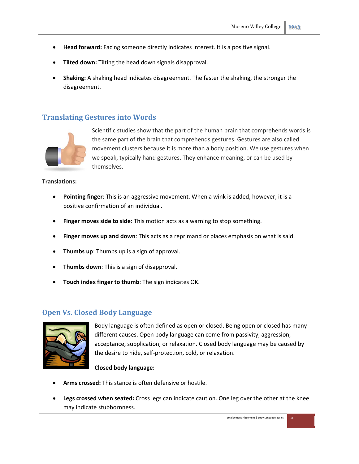- **Head forward:** Facing someone directly indicates interest. It is a positive signal.
- **Tilted down:** Tilting the head down signals disapproval.
- **Shaking:** A shaking head indicates disagreement. The faster the shaking, the stronger the disagreement.

#### **Translating Gestures into Words**



Scientific studies show that the part of the human brain that comprehends words is the same part of the brain that comprehends gestures. Gestures are also called movement clusters because it is more than a body position. We use gestures when we speak, typically hand gestures. They enhance meaning, or can be used by themselves.

#### **Translations:**

- **Pointing finger**: This is an aggressive movement. When a wink is added, however, it is a positive confirmation of an individual.
- **Finger moves side to side**: This motion acts as a warning to stop something.
- **Finger moves up and down**: This acts as a reprimand or places emphasis on what is said.
- **Thumbs up**: Thumbs up is a sign of approval.
- **Thumbs down**: This is a sign of disapproval.
- **Touch index finger to thumb**: The sign indicates OK.

#### **Open Vs. Closed Body Language**



Body language is often defined as open or closed. Being open or closed has many different causes. Open body language can come from passivity, aggression, acceptance, supplication, or relaxation. Closed body language may be caused by the desire to hide, self‐protection, cold, or relaxation.

#### **Closed body language:**

- **Arms crossed:** This stance is often defensive or hostile.
- **Legs crossed when seated:** Cross legs can indicate caution. One leg over the other at the knee may indicate stubbornness.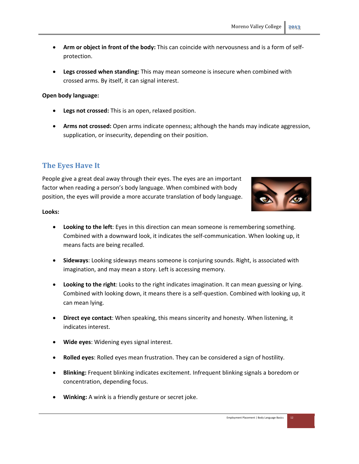- **Arm or object in front of the body:** This can coincide with nervousness and is a form of self‐ protection.
- **Legs crossed when standing:** This may mean someone is insecure when combined with crossed arms. By itself, it can signal interest.

#### **Open body language:**

- **Legs not crossed:** This is an open, relaxed position.
- **Arms not crossed:** Open arms indicate openness; although the hands may indicate aggression, supplication, or insecurity, depending on their position.

## **The Eyes Have It**

People give a great deal away through their eyes. The eyes are an important factor when reading a person's body language. When combined with body position, the eyes will provide a more accurate translation of body language.



#### **Looks:**

- **Looking to the left**: Eyes in this direction can mean someone is remembering something. Combined with a downward look, it indicates the self‐communication. When looking up, it means facts are being recalled.
- **Sideways**: Looking sideways means someone is conjuring sounds. Right, is associated with imagination, and may mean a story. Left is accessing memory.
- **Looking to the right**: Looks to the right indicates imagination. It can mean guessing or lying. Combined with looking down, it means there is a self‐question. Combined with looking up, it can mean lying.
- **Direct eye contact**: When speaking, this means sincerity and honesty. When listening, it indicates interest.
- **Wide eyes**: Widening eyes signal interest.
- **Rolled eyes**: Rolled eyes mean frustration. They can be considered a sign of hostility.
- **Blinking:** Frequent blinking indicates excitement. Infrequent blinking signals a boredom or concentration, depending focus.
- **Winking:** A wink is a friendly gesture or secret joke.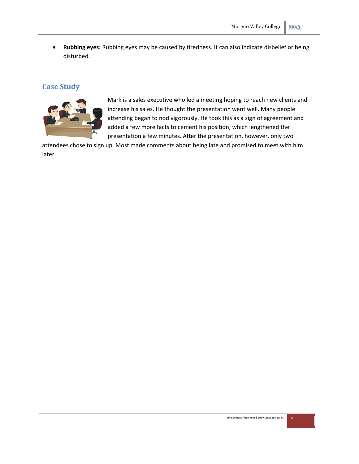**Rubbing eyes:** Rubbing eyes may be caused by tiredness. It can also indicate disbelief or being disturbed.

## **Case Study**



Mark is a sales executive who led a meeting hoping to reach new clients and increase his sales. He thought the presentation went well. Many people attending began to nod vigorously. He took this as a sign of agreement and added a few more facts to cement his position, which lengthened the presentation a few minutes. After the presentation, however, only two

attendees chose to sign up. Most made comments about being late and promised to meet with him later.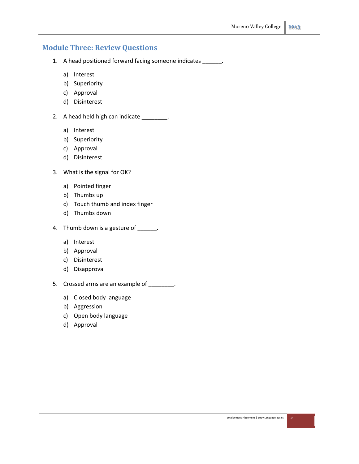## **Module Three: Review Questions**

- 1. A head positioned forward facing someone indicates \_\_\_\_\_\_.
	- a) Interest
	- b) Superiority
	- c) Approval
	- d) Disinterest
- 2. A head held high can indicate \_\_\_\_\_\_\_\_.
	- a) Interest
	- b) Superiority
	- c) Approval
	- d) Disinterest
- 3. What is the signal for OK?
	- a) Pointed finger
	- b) Thumbs up
	- c) Touch thumb and index finger
	- d) Thumbs down
- 4. Thumb down is a gesture of \_\_\_\_\_\_.
	- a) Interest
	- b) Approval
	- c) Disinterest
	- d) Disapproval
- 5. Crossed arms are an example of \_\_\_\_\_\_\_\_.
	- a) Closed body language
	- b) Aggression
	- c) Open body language
	- d) Approval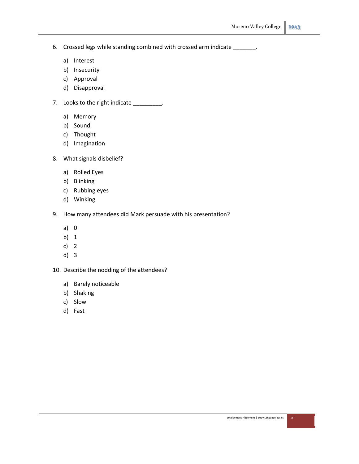- 6. Crossed legs while standing combined with crossed arm indicate \_\_\_\_\_\_\_.
	- a) Interest
	- b) Insecurity
	- c) Approval
	- d) Disapproval
- 7. Looks to the right indicate \_\_\_\_\_\_\_\_\_.
	- a) Memory
	- b) Sound
	- c) Thought
	- d) Imagination
- 8. What signals disbelief?
	- a) Rolled Eyes
	- b) Blinking
	- c) Rubbing eyes
	- d) Winking
- 9. How many attendees did Mark persuade with his presentation?
	- a) 0
	- b) 1
	- c) 2
	- d) 3
- 10. Describe the nodding of the attendees?
	- a) Barely noticeable
	- b) Shaking
	- c) Slow
	- d) Fast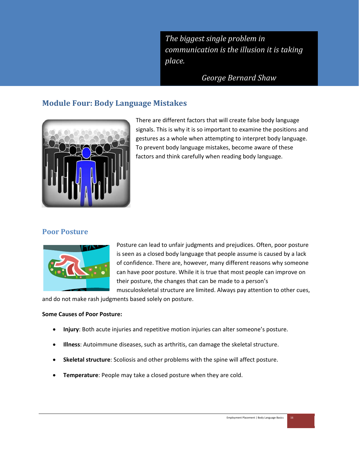*The biggest single problem in communication is the illusion it is taking place.*

*George Bernard Shaw*

## **Module Four: Body Language Mistakes**



There are different factors that will create false body language signals. This is why it is so important to examine the positions and gestures as a whole when attempting to interpret body language. To prevent body language mistakes, become aware of these factors and think carefully when reading body language.

## **Poor Posture**



Posture can lead to unfair judgments and prejudices. Often, poor posture is seen as a closed body language that people assume is caused by a lack of confidence. There are, however, many different reasons why someone can have poor posture. While it is true that most people can improve on their posture, the changes that can be made to a person's

musculoskeletal structure are limited. Always pay attention to other cues,

and do not make rash judgments based solely on posture.

#### **Some Causes of Poor Posture:**

- **Injury**: Both acute injuries and repetitive motion injuries can alter someone's posture.
- **Illness**: Autoimmune diseases, such as arthritis, can damage the skeletal structure.
- **Skeletal structure**: Scoliosis and other problems with the spine will affect posture.
- **Temperature**: People may take a closed posture when they are cold.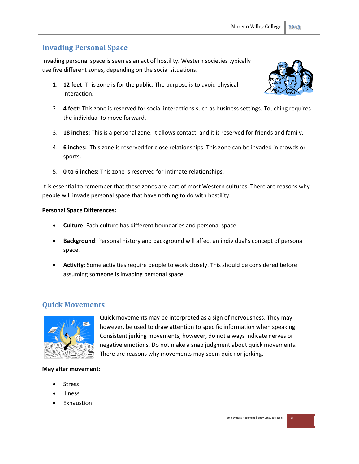## **Invading Personal Space**

Invading personal space is seen as an act of hostility. Western societies typically use five different zones, depending on the social situations.

1. **12 feet**: This zone is for the public. The purpose is to avoid physical interaction.



- 2. **4 feet:** This zone is reserved for social interactions such as business settings. Touching requires the individual to move forward.
- 3. **18 inches:** This is a personal zone. It allows contact, and it is reserved for friends and family.
- 4. **6 inches:** This zone is reserved for close relationships. This zone can be invaded in crowds or sports.
- 5. **0 to 6 inches:** This zone is reserved for intimate relationships.

It is essential to remember that these zones are part of most Western cultures. There are reasons why people will invade personal space that have nothing to do with hostility.

#### **Personal Space Differences:**

- **Culture**: Each culture has different boundaries and personal space.
- **Background**: Personal history and background will affect an individual's concept of personal space.
- **Activity**: Some activities require people to work closely. This should be considered before assuming someone is invading personal space.

## **Quick Movements**



Quick movements may be interpreted as a sign of nervousness. They may, however, be used to draw attention to specific information when speaking. Consistent jerking movements, however, do not always indicate nerves or negative emotions. Do not make a snap judgment about quick movements. There are reasons why movements may seem quick or jerking.

#### **May alter movement:**

- Stress
- Illness
- Exhaustion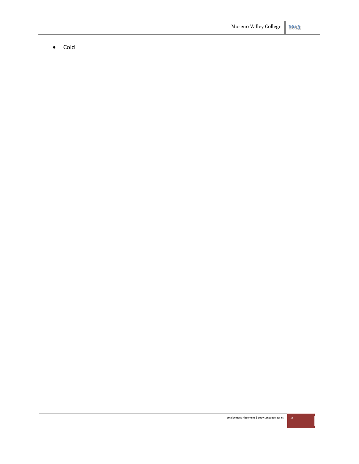• Cold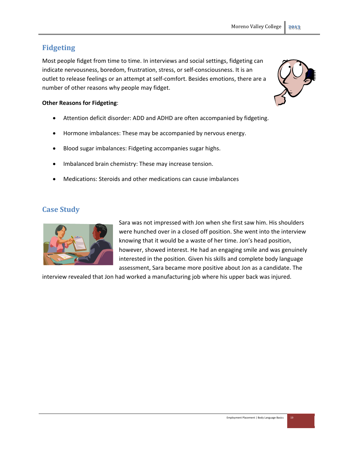## **Fidgeting**

Most people fidget from time to time. In interviews and social settings, fidgeting can indicate nervousness, boredom, frustration, stress, or self‐consciousness. It is an outlet to release feelings or an attempt at self‐comfort. Besides emotions, there are a number of other reasons why people may fidget.

#### **Other Reasons for Fidgeting**:

- Attention deficit disorder: ADD and ADHD are often accompanied by fidgeting.
- Hormone imbalances: These may be accompanied by nervous energy.
- Blood sugar imbalances: Fidgeting accompanies sugar highs.
- Imbalanced brain chemistry: These may increase tension.
- Medications: Steroids and other medications can cause imbalances

## **Case Study**



Sara was not impressed with Jon when she first saw him. His shoulders were hunched over in a closed off position. She went into the interview knowing that it would be a waste of her time. Jon's head position, however, showed interest. He had an engaging smile and was genuinely interested in the position. Given his skills and complete body language assessment, Sara became more positive about Jon as a candidate. The

interview revealed that Jon had worked a manufacturing job where his upper back was injured.

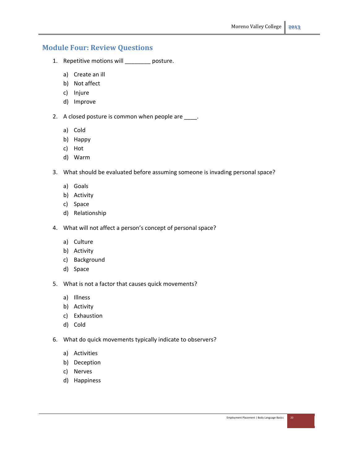## **Module Four: Review Questions**

- 1. Repetitive motions will \_\_\_\_\_\_\_\_ posture.
	- a) Create an ill
	- b) Not affect
	- c) Injure
	- d) Improve
- 2. A closed posture is common when people are \_\_\_\_.
	- a) Cold
	- b) Happy
	- c) Hot
	- d) Warm
- 3. What should be evaluated before assuming someone is invading personal space?
	- a) Goals
	- b) Activity
	- c) Space
	- d) Relationship
- 4. What will not affect a person's concept of personal space?
	- a) Culture
	- b) Activity
	- c) Background
	- d) Space
- 5. What is not a factor that causes quick movements?
	- a) Illness
	- b) Activity
	- c) Exhaustion
	- d) Cold
- 6. What do quick movements typically indicate to observers?
	- a) Activities
	- b) Deception
	- c) Nerves
	- d) Happiness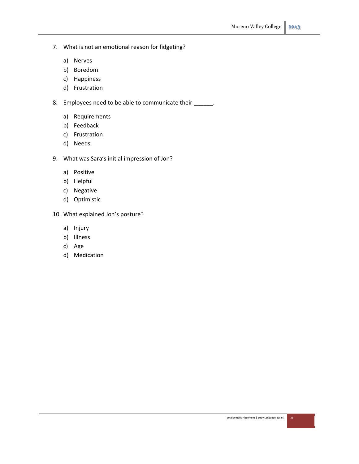- 7. What is not an emotional reason for fidgeting?
	- a) Nerves
	- b) Boredom
	- c) Happiness
	- d) Frustration

8. Employees need to be able to communicate their \_\_\_\_\_\_.

- a) Requirements
- b) Feedback
- c) Frustration
- d) Needs
- 9. What was Sara's initial impression of Jon?
	- a) Positive
	- b) Helpful
	- c) Negative
	- d) Optimistic
- 10. What explained Jon's posture?
	- a) Injury
	- b) Illness
	- c) Age
	- d) Medication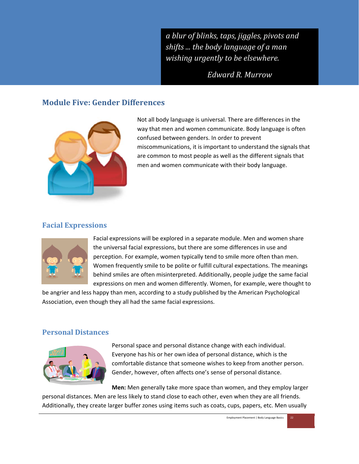*a blur of blinks, taps, jiggles, pivots and shifts ... the body language of a man wishing urgently to be elsewhere.*

*Edward R. Murrow*

Moreno Valley College **͟͠͞͡**

## **Module Five: Gender Differences**



Not all body language is universal. There are differences in the way that men and women communicate. Body language is often confused between genders. In order to prevent miscommunications, it is important to understand the signals that are common to most people as well as the different signals that men and women communicate with their body language.

## **Facial Expressions**



Facial expressions will be explored in a separate module. Men and women share the universal facial expressions, but there are some differences in use and perception. For example, women typically tend to smile more often than men. Women frequently smile to be polite or fulfill cultural expectations. The meanings behind smiles are often misinterpreted. Additionally, people judge the same facial expressions on men and women differently. Women, for example, were thought to

be angrier and less happy than men, according to a study published by the American Psychological Association, even though they all had the same facial expressions.

#### **Personal Distances**



Personal space and personal distance change with each individual. Everyone has his or her own idea of personal distance, which is the comfortable distance that someone wishes to keep from another person. Gender, however, often affects one's sense of personal distance.

**Men:** Men generally take more space than women, and they employ larger personal distances. Men are less likely to stand close to each other, even when they are all friends. Additionally, they create larger buffer zones using items such as coats, cups, papers, etc. Men usually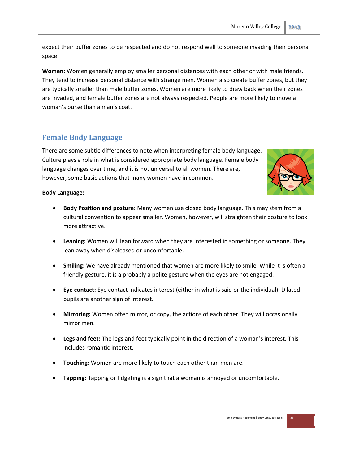expect their buffer zones to be respected and do not respond well to someone invading their personal space.

**Women:** Women generally employ smaller personal distances with each other or with male friends. They tend to increase personal distance with strange men. Women also create buffer zones, but they are typically smaller than male buffer zones. Women are more likely to draw back when their zones are invaded, and female buffer zones are not always respected. People are more likely to move a woman's purse than a man's coat.

## **Female Body Language**

There are some subtle differences to note when interpreting female body language. Culture plays a role in what is considered appropriate body language. Female body language changes over time, and it is not universal to all women. There are, however, some basic actions that many women have in common.



#### **Body Language:**

- **Body Position and posture:** Many women use closed body language. This may stem from a cultural convention to appear smaller. Women, however, will straighten their posture to look more attractive.
- **Leaning:** Women will lean forward when they are interested in something or someone. They lean away when displeased or uncomfortable.
- **Smiling:** We have already mentioned that women are more likely to smile. While it is often a friendly gesture, it is a probably a polite gesture when the eyes are not engaged.
- **Eye contact:** Eye contact indicates interest (either in what is said or the individual). Dilated pupils are another sign of interest.
- **Mirroring:** Women often mirror, or copy, the actions of each other. They will occasionally mirror men.
- **Legs and feet:** The legs and feet typically point in the direction of a woman's interest. This includes romantic interest.
- **Touching:** Women are more likely to touch each other than men are.
- **Tapping:** Tapping or fidgeting is a sign that a woman is annoyed or uncomfortable.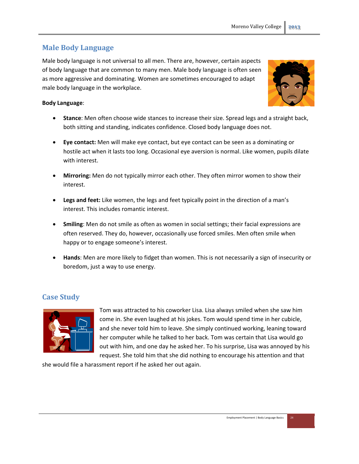## **Male Body Language**

Male body language is not universal to all men. There are, however, certain aspects of body language that are common to many men. Male body language is often seen as more aggressive and dominating. Women are sometimes encouraged to adapt male body language in the workplace.



#### **Body Language**:

- **Stance**: Men often choose wide stances to increase their size. Spread legs and a straight back, both sitting and standing, indicates confidence. Closed body language does not.
- **Eye contact:** Men will make eye contact, but eye contact can be seen as a dominating or hostile act when it lasts too long. Occasional eye aversion is normal. Like women, pupils dilate with interest.
- **Mirroring:** Men do not typically mirror each other. They often mirror women to show their interest.
- **Legs and feet:** Like women, the legs and feet typically point in the direction of a man's interest. This includes romantic interest.
- **Smiling**: Men do not smile as often as women in social settings; their facial expressions are often reserved. They do, however, occasionally use forced smiles. Men often smile when happy or to engage someone's interest.
- **Hands**: Men are more likely to fidget than women. This is not necessarily a sign of insecurity or boredom, just a way to use energy.

## **Case Study**



Tom was attracted to his coworker Lisa. Lisa always smiled when she saw him come in. She even laughed at his jokes. Tom would spend time in her cubicle, and she never told him to leave. She simply continued working, leaning toward her computer while he talked to her back. Tom was certain that Lisa would go out with him, and one day he asked her. To his surprise, Lisa was annoyed by his request. She told him that she did nothing to encourage his attention and that

she would file a harassment report if he asked her out again.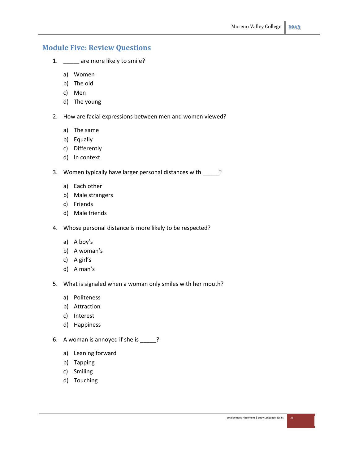## **Module Five: Review Questions**

- 1. \_\_\_\_\_ are more likely to smile?
	- a) Women
	- b) The old
	- c) Men
	- d) The young
- 2. How are facial expressions between men and women viewed?
	- a) The same
	- b) Equally
	- c) Differently
	- d) In context
- 3. Women typically have larger personal distances with \_\_\_\_\_?
	- a) Each other
	- b) Male strangers
	- c) Friends
	- d) Male friends
- 4. Whose personal distance is more likely to be respected?
	- a) A boy's
	- b) A woman's
	- c) A girl's
	- d) A man's
- 5. What is signaled when a woman only smiles with her mouth?
	- a) Politeness
	- b) Attraction
	- c) Interest
	- d) Happiness
- 6. A woman is annoyed if she is \_\_\_\_\_?
	- a) Leaning forward
	- b) Tapping
	- c) Smiling
	- d) Touching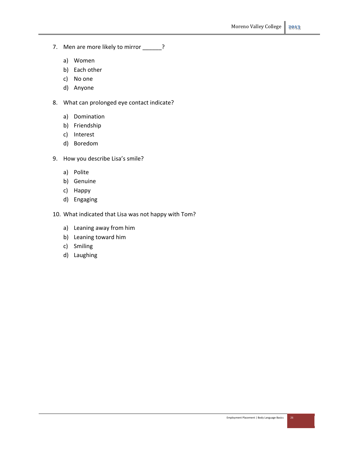- 7. Men are more likely to mirror \_\_\_\_\_\_?
	- a) Women
	- b) Each other
	- c) No one
	- d) Anyone
- 8. What can prolonged eye contact indicate?
	- a) Domination
	- b) Friendship
	- c) Interest
	- d) Boredom
- 9. How you describe Lisa's smile?
	- a) Polite
	- b) Genuine
	- c) Happy
	- d) Engaging
- 10. What indicated that Lisa was not happy with Tom?
	- a) Leaning away from him
	- b) Leaning toward him
	- c) Smiling
	- d) Laughing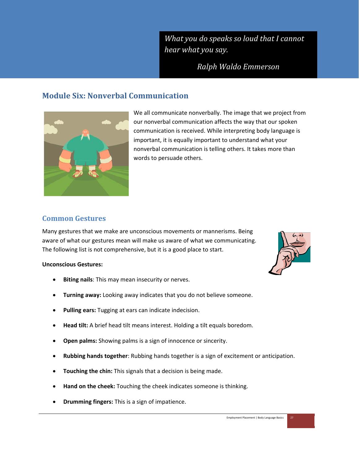*What you do speaks so loud that I cannot hear what you say.*

*Ralph Waldo Emmerson*

## **Module Six: Nonverbal Communication**



We all communicate nonverbally. The image that we project from our nonverbal communication affects the way that our spoken communication is received. While interpreting body language is important, it is equally important to understand what your nonverbal communication is telling others. It takes more than words to persuade others.

## **Common Gestures**

Many gestures that we make are unconscious movements or mannerisms. Being aware of what our gestures mean will make us aware of what we communicating. The following list is not comprehensive, but it is a good place to start.

#### **Unconscious Gestures:**

- **Biting nails**: This may mean insecurity or nerves.
- **Turning away:** Looking away indicates that you do not believe someone.
- **Pulling ears:** Tugging at ears can indicate indecision.
- **Head tilt:** A brief head tilt means interest. Holding a tilt equals boredom.
- **Open palms:** Showing palms is a sign of innocence or sincerity.
- **Rubbing hands together**: Rubbing hands together is a sign of excitement or anticipation.
- **Touching the chin:** This signals that a decision is being made.
- **Hand on the cheek:** Touching the cheek indicates someone is thinking.
- **Drumming fingers:** This is a sign of impatience.

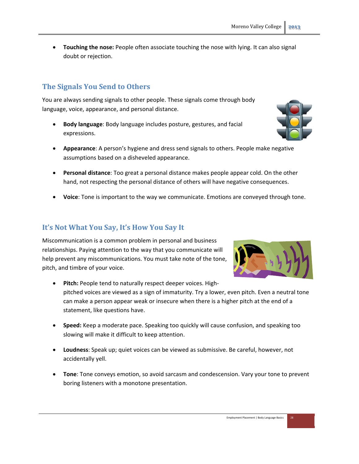**Touching the nose:** People often associate touching the nose with lying. It can also signal doubt or rejection.

## **The Signals You Send to Others**

You are always sending signals to other people. These signals come through body language, voice, appearance, and personal distance.

- **Body language**: Body language includes posture, gestures, and facial expressions.
- **Appearance**: A person's hygiene and dress send signals to others. People make negative assumptions based on a disheveled appearance.
- **Personal distance**: Too great a personal distance makes people appear cold. On the other hand, not respecting the personal distance of others will have negative consequences.
- **Voice**: Tone is important to the way we communicate. Emotions are conveyed through tone.

#### **It's Not What You Say, It's How You Say It**

Miscommunication is a common problem in personal and business relationships. Paying attention to the way that you communicate will help prevent any miscommunications. You must take note of the tone, pitch, and timbre of your voice.

- **Pitch:** People tend to naturally respect deeper voices. High‐ pitched voices are viewed as a sign of immaturity. Try a lower, even pitch. Even a neutral tone can make a person appear weak or insecure when there is a higher pitch at the end of a statement, like questions have.
- **Speed:** Keep a moderate pace. Speaking too quickly will cause confusion, and speaking too slowing will make it difficult to keep attention.
- **Loudness**: Speak up; quiet voices can be viewed as submissive. Be careful, however, not accidentally yell.
- **Tone**: Tone conveys emotion, so avoid sarcasm and condescension. Vary your tone to prevent boring listeners with a monotone presentation.



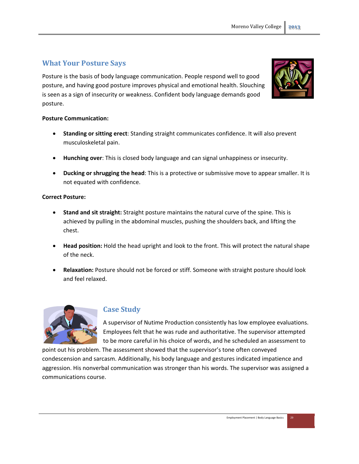## **What Your Posture Says**

Posture is the basis of body language communication. People respond well to good posture, and having good posture improves physical and emotional health. Slouching is seen as a sign of insecurity or weakness. Confident body language demands good posture.



#### **Posture Communication:**

- **Standing or sitting erect**: Standing straight communicates confidence. It will also prevent musculoskeletal pain.
- **Hunching over**: This is closed body language and can signal unhappiness or insecurity.
- **Ducking or shrugging the head**: This is a protective or submissive move to appear smaller. It is not equated with confidence.

#### **Correct Posture:**

- **Stand and sit straight:** Straight posture maintains the natural curve of the spine. This is achieved by pulling in the abdominal muscles, pushing the shoulders back, and lifting the chest.
- **Head position:** Hold the head upright and look to the front. This will protect the natural shape of the neck.
- **Relaxation:** Posture should not be forced or stiff. Someone with straight posture should look and feel relaxed.



#### **Case Study**

A supervisor of Nutime Production consistently has low employee evaluations. Employees felt that he was rude and authoritative. The supervisor attempted to be more careful in his choice of words, and he scheduled an assessment to

point out his problem. The assessment showed that the supervisor's tone often conveyed condescension and sarcasm. Additionally, his body language and gestures indicated impatience and aggression. His nonverbal communication was stronger than his words. The supervisor was assigned a communications course.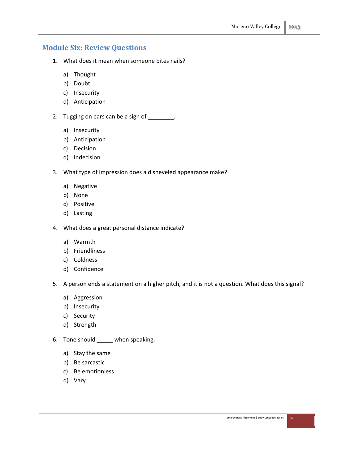## **Module Six: Review Questions**

- 1. What does it mean when someone bites nails?
	- a) Thought
	- b) Doubt
	- c) Insecurity
	- d) Anticipation
- 2. Tugging on ears can be a sign of \_\_\_\_\_\_\_\_.
	- a) Insecurity
	- b) Anticipation
	- c) Decision
	- d) Indecision
- 3. What type of impression does a disheveled appearance make?
	- a) Negative
	- b) None
	- c) Positive
	- d) Lasting
- 4. What does a great personal distance indicate?
	- a) Warmth
	- b) Friendliness
	- c) Coldness
	- d) Confidence
- 5. A person ends a statement on a higher pitch, and it is not a question. What does this signal?
	- a) Aggression
	- b) Insecurity
	- c) Security
	- d) Strength
- 6. Tone should \_\_\_\_\_ when speaking.
	- a) Stay the same
	- b) Be sarcastic
	- c) Be emotionless
	- d) Vary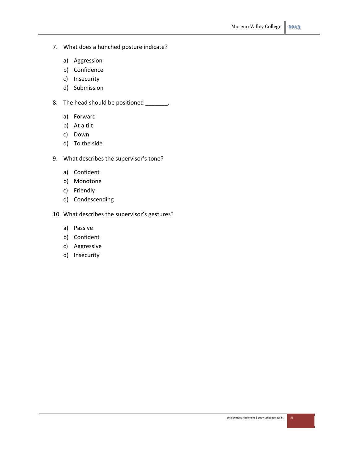- 7. What does a hunched posture indicate?
	- a) Aggression
	- b) Confidence
	- c) Insecurity
	- d) Submission
- 8. The head should be positioned \_\_\_\_\_\_\_.
	- a) Forward
	- b) At a tilt
	- c) Down
	- d) To the side
- 9. What describes the supervisor's tone?
	- a) Confident
	- b) Monotone
	- c) Friendly
	- d) Condescending
- 10. What describes the supervisor's gestures?
	- a) Passive
	- b) Confident
	- c) Aggressive
	- d) Insecurity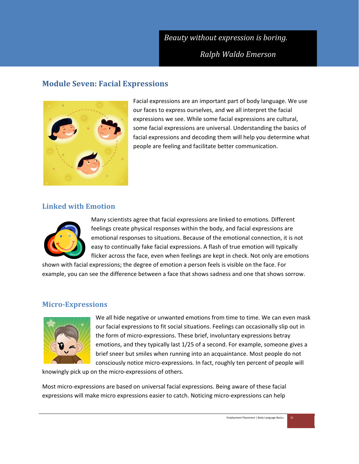## *Beauty without expression is boring.*

*Ralph Waldo Emerson*

## **Module Seven: Facial Expressions**



Facial expressions are an important part of body language. We use our faces to express ourselves, and we all interpret the facial expressions we see. While some facial expressions are cultural, some facial expressions are universal. Understanding the basics of facial expressions and decoding them will help you determine what people are feeling and facilitate better communication.

## **Linked with Emotion**



Many scientists agree that facial expressions are linked to emotions. Different feelings create physical responses within the body, and facial expressions are emotional responses to situations. Because of the emotional connection, it is not easy to continually fake facial expressions. A flash of true emotion will typically flicker across the face, even when feelings are kept in check. Not only are emotions

shown with facial expressions; the degree of emotion a person feels is visible on the face. For example, you can see the difference between a face that shows sadness and one that shows sorrow.

#### **Micro‐Expressions**



We all hide negative or unwanted emotions from time to time. We can even mask our facial expressions to fit social situations. Feelings can occasionally slip out in the form of micro‐expressions. These brief, involuntary expressions betray emotions, and they typically last 1/25 of a second. For example, someone gives a brief sneer but smiles when running into an acquaintance. Most people do not consciously notice micro‐expressions. In fact, roughly ten percent of people will

knowingly pick up on the micro‐expressions of others.

Most micro‐expressions are based on universal facial expressions. Being aware of these facial expressions will make micro expressions easier to catch. Noticing micro-expressions can help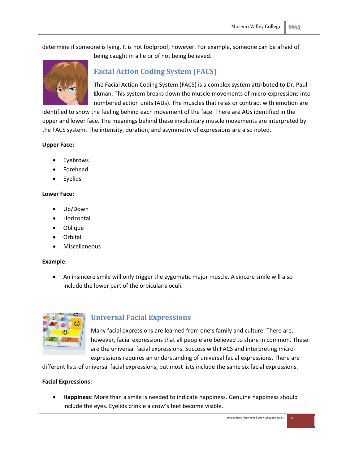determine if someone is lying. It is not foolproof, however. For example, someone can be afraid of being caught in a lie or of not being believed.



## **Facial Action Coding System (FACS)**

The Facial Action Coding System (FACS) is a complex system attributed to Dr. Paul Ekman. This system breaks down the muscle movements of micro‐expressions into numbered action units (AUs). The muscles that relax or contract with emotion are

identified to show the feeling behind each movement of the face. There are AUs identified in the upper and lower face. The meanings behind these involuntary muscle movements are interpreted by the FACS system. The intensity, duration, and asymmetry of expressions are also noted.

#### **Upper Face:**

- Eyebrows
- Forehead
- Eyelids

#### **Lower Face:**

- Up/Down
- Horizontal
- Oblique
- Orbital
- Miscellaneous

#### **Example:**

 An insincere smile will only trigger the zygomatic major muscle. A sincere smile will also include the lower part of the orbicularis oculi.



## **Universal Facial Expressions**

Many facial expressions are learned from one's family and culture. There are, however, facial expressions that all people are believed to share in common. These are the universal facial expressions. Success with FACS and interpreting microexpressions requires an understanding of universal facial expressions. There are

different lists of universal facial expressions, but most lists include the same six facial expressions.

#### **Facial Expressions:**

 **Happiness**: More than a smile is needed to indicate happiness. Genuine happiness should include the eyes. Eyelids crinkle a crow's feet become visible.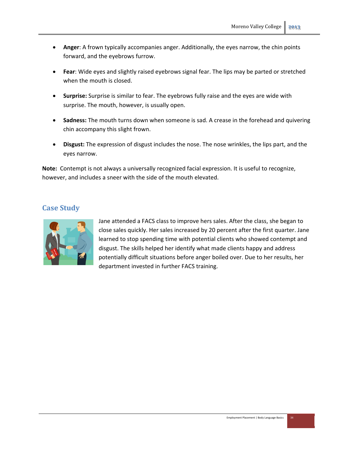- **Anger**: A frown typically accompanies anger. Additionally, the eyes narrow, the chin points forward, and the eyebrows furrow.
- **Fear**: Wide eyes and slightly raised eyebrows signal fear. The lips may be parted or stretched when the mouth is closed.
- **Surprise:** Surprise is similar to fear. The eyebrows fully raise and the eyes are wide with surprise. The mouth, however, is usually open.
- **Sadness:** The mouth turns down when someone is sad. A crease in the forehead and quivering chin accompany this slight frown.
- **Disgust:** The expression of disgust includes the nose. The nose wrinkles, the lips part, and the eyes narrow.

**Note:** Contempt is not always a universally recognized facial expression. It is useful to recognize, however, and includes a sneer with the side of the mouth elevated.

#### **Case Study**



Jane attended a FACS class to improve hers sales. After the class, she began to close sales quickly. Her sales increased by 20 percent after the first quarter. Jane learned to stop spending time with potential clients who showed contempt and disgust. The skills helped her identify what made clients happy and address potentially difficult situations before anger boiled over. Due to her results, her department invested in further FACS training.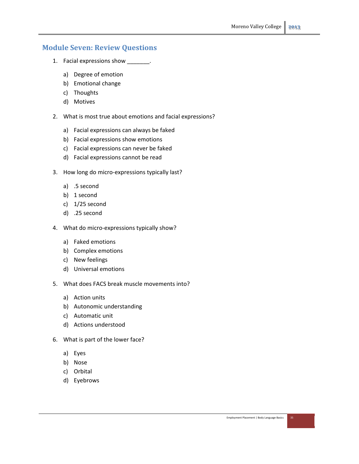## **Module Seven: Review Questions**

- 1. Facial expressions show \_\_\_\_\_\_\_\_.
	- a) Degree of emotion
	- b) Emotional change
	- c) Thoughts
	- d) Motives
- 2. What is most true about emotions and facial expressions?
	- a) Facial expressions can always be faked
	- b) Facial expressions show emotions
	- c) Facial expressions can never be faked
	- d) Facial expressions cannot be read
- 3. How long do micro‐expressions typically last?
	- a) .5 second
	- b) 1 second
	- c) 1/25 second
	- d) .25 second
- 4. What do micro-expressions typically show?
	- a) Faked emotions
	- b) Complex emotions
	- c) New feelings
	- d) Universal emotions
- 5. What does FACS break muscle movements into?
	- a) Action units
	- b) Autonomic understanding
	- c) Automatic unit
	- d) Actions understood
- 6. What is part of the lower face?
	- a) Eyes
	- b) Nose
	- c) Orbital
	- d) Eyebrows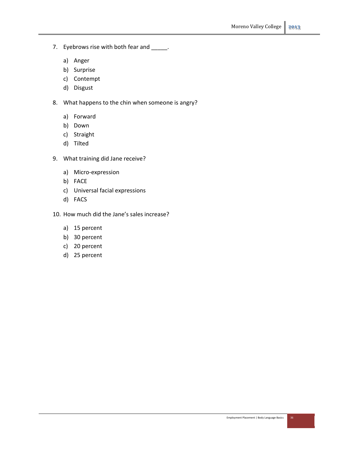- 7. Eyebrows rise with both fear and \_\_\_\_\_.
	- a) Anger
	- b) Surprise
	- c) Contempt
	- d) Disgust
- 8. What happens to the chin when someone is angry?
	- a) Forward
	- b) Down
	- c) Straight
	- d) Tilted
- 9. What training did Jane receive?
	- a) Micro‐expression
	- b) FACE
	- c) Universal facial expressions
	- d) FACS
- 10. How much did the Jane's sales increase?
	- a) 15 percent
	- b) 30 percent
	- c) 20 percent
	- d) 25 percent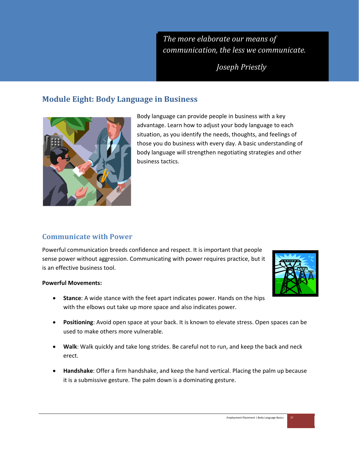*The more elaborate our means of communication, the less we communicate.*

*Joseph Priestly*

## **Module Eight: Body Language in Business**



Body language can provide people in business with a key advantage. Learn how to adjust your body language to each situation, as you identify the needs, thoughts, and feelings of those you do business with every day. A basic understanding of body language will strengthen negotiating strategies and other business tactics.

## **Communicate with Power**

Powerful communication breeds confidence and respect. It is important that people sense power without aggression. Communicating with power requires practice, but it is an effective business tool.

#### **Powerful Movements:**

- **Stance**: A wide stance with the feet apart indicates power. Hands on the hips with the elbows out take up more space and also indicates power.
- **Positioning**: Avoid open space at your back. It is known to elevate stress. Open spaces can be used to make others more vulnerable.
- **Walk**: Walk quickly and take long strides. Be careful not to run, and keep the back and neck erect.
- **Handshake**: Offer a firm handshake, and keep the hand vertical. Placing the palm up because it is a submissive gesture. The palm down is a dominating gesture.

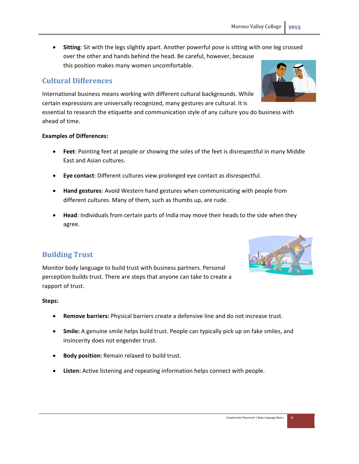**Sitting**: Sit with the legs slightly apart. Another powerful pose is sitting with one leg crossed over the other and hands behind the head. Be careful, however, because this position makes many women uncomfortable.

## **Cultural Differences**

International business means working with different cultural backgrounds. While certain expressions are universally recognized, many gestures are cultural. It is

essential to research the etiquette and communication style of any culture you do business with ahead of time.

#### **Examples of Differences:**

- **Feet**: Pointing feet at people or showing the soles of the feet is disrespectful in many Middle East and Asian cultures.
- **Eye contact**: Different cultures view prolonged eye contact as disrespectful.
- **Hand gestures**: Avoid Western hand gestures when communicating with people from different cultures. Many of them, such as thumbs up, are rude.
- **Head**: Individuals from certain parts of India may move their heads to the side when they agree.

## **Building Trust**

Monitor body language to build trust with business partners. Personal perception builds trust. There are steps that anyone can take to create a rapport of trust.

#### **Steps:**

- **Remove barriers:** Physical barriers create a defensive line and do not increase trust.
- **Smile:** A genuine smile helps build trust. People can typically pick up on fake smiles, and insincerity does not engender trust.
- **Body position:** Remain relaxed to build trust.
- **Listen:** Active listening and repeating information helps connect with people.



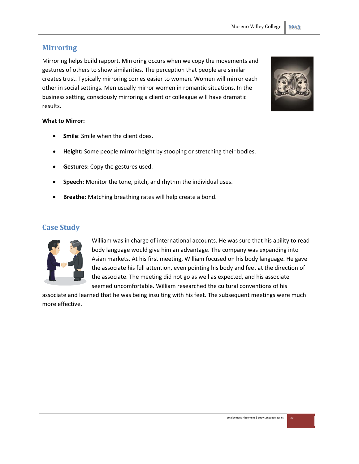## **Mirroring**

Mirroring helps build rapport. Mirroring occurs when we copy the movements and gestures of others to show similarities. The perception that people are similar creates trust. Typically mirroring comes easier to women. Women will mirror each other in social settings. Men usually mirror women in romantic situations. In the business setting, consciously mirroring a client or colleague will have dramatic results.

#### **What to Mirror:**

- **Smile**: Smile when the client does.
- **Height:** Some people mirror height by stooping or stretching their bodies.
- **Gestures:** Copy the gestures used.
- **Speech:** Monitor the tone, pitch, and rhythm the individual uses.
- **Breathe:** Matching breathing rates will help create a bond.

#### **Case Study**



William was in charge of international accounts. He was sure that his ability to read body language would give him an advantage. The company was expanding into Asian markets. At his first meeting, William focused on his body language. He gave the associate his full attention, even pointing his body and feet at the direction of the associate. The meeting did not go as well as expected, and his associate seemed uncomfortable. William researched the cultural conventions of his

associate and learned that he was being insulting with his feet. The subsequent meetings were much more effective.

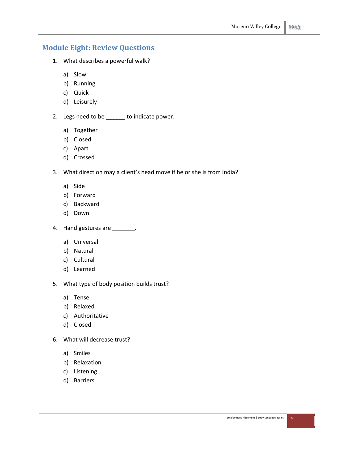## **Module Eight: Review Questions**

- 1. What describes a powerful walk?
	- a) Slow
	- b) Running
	- c) Quick
	- d) Leisurely
- 2. Legs need to be \_\_\_\_\_\_ to indicate power.
	- a) Together
	- b) Closed
	- c) Apart
	- d) Crossed
- 3. What direction may a client's head move if he or she is from India?
	- a) Side
	- b) Forward
	- c) Backward
	- d) Down
- 4. Hand gestures are \_\_\_\_\_\_\_.
	- a) Universal
	- b) Natural
	- c) Cultural
	- d) Learned
- 5. What type of body position builds trust?
	- a) Tense
	- b) Relaxed
	- c) Authoritative
	- d) Closed
- 6. What will decrease trust?
	- a) Smiles
	- b) Relaxation
	- c) Listening
	- d) Barriers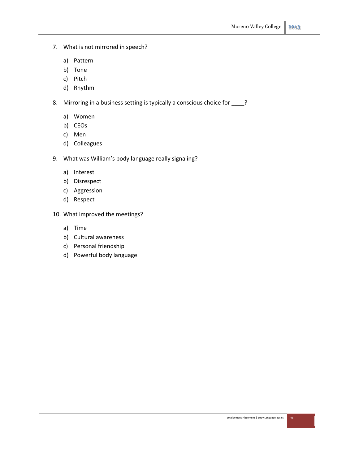- 7. What is not mirrored in speech?
	- a) Pattern
	- b) Tone
	- c) Pitch
	- d) Rhythm
- 8. Mirroring in a business setting is typically a conscious choice for \_\_\_\_?
	- a) Women
	- b) CEOs
	- c) Men
	- d) Colleagues
- 9. What was William's body language really signaling?
	- a) Interest
	- b) Disrespect
	- c) Aggression
	- d) Respect
- 10. What improved the meetings?
	- a) Time
	- b) Cultural awareness
	- c) Personal friendship
	- d) Powerful body language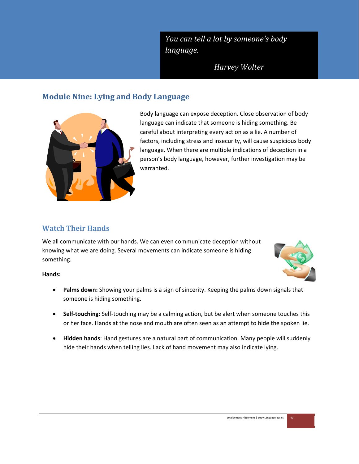*You can tell a lot by someone's body language.*

*Harvey Wolter*

## **Module Nine: Lying and Body Language**



Body language can expose deception. Close observation of body language can indicate that someone is hiding something. Be careful about interpreting every action as a lie. A number of factors, including stress and insecurity, will cause suspicious body language. When there are multiple indications of deception in a person's body language, however, further investigation may be warranted.

## **Watch Their Hands**

We all communicate with our hands. We can even communicate deception without knowing what we are doing. Several movements can indicate someone is hiding something.



#### **Hands:**

- **Palms down:** Showing your palms is a sign of sincerity. Keeping the palms down signals that someone is hiding something.
- **Self‐touching**: Self‐touching may be a calming action, but be alert when someone touches this or her face. Hands at the nose and mouth are often seen as an attempt to hide the spoken lie.
- **Hidden hands**: Hand gestures are a natural part of communication. Many people will suddenly hide their hands when telling lies. Lack of hand movement may also indicate lying.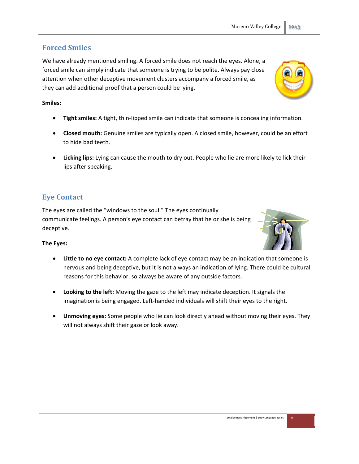## **Forced Smiles**

We have already mentioned smiling. A forced smile does not reach the eyes. Alone, a forced smile can simply indicate that someone is trying to be polite. Always pay close attention when other deceptive movement clusters accompany a forced smile, as they can add additional proof that a person could be lying.

#### **Smiles:**

- **Tight smiles:** A tight, thin‐lipped smile can indicate that someone is concealing information.
- **Closed mouth:** Genuine smiles are typically open. A closed smile, however, could be an effort to hide bad teeth.
- **Licking lips:** Lying can cause the mouth to dry out. People who lie are more likely to lick their lips after speaking.

## **Eye Contact**

The eyes are called the "windows to the soul." The eyes continually communicate feelings. A person's eye contact can betray that he or she is being deceptive.

#### **The Eyes:**

- **Little to no eye contact:** A complete lack of eye contact may be an indication that someone is nervous and being deceptive, but it is not always an indication of lying. There could be cultural reasons for this behavior, so always be aware of any outside factors.
- **Looking to the left:** Moving the gaze to the left may indicate deception. It signals the imagination is being engaged. Left‐handed individuals will shift their eyes to the right.
- **Unmoving eyes:** Some people who lie can look directly ahead without moving their eyes. They will not always shift their gaze or look away.



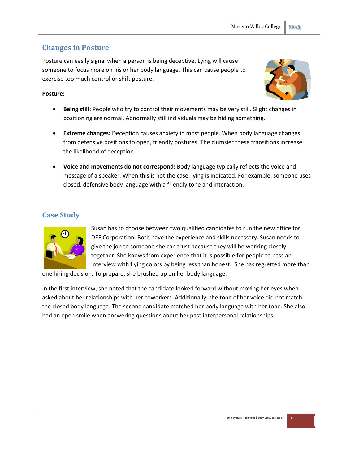## **Changes in Posture**

Posture can easily signal when a person is being deceptive. Lying will cause someone to focus more on his or her body language. This can cause people to exercise too much control or shift posture.

#### **Posture:**



- **Being still:** People who try to control their movements may be very still. Slight changes in positioning are normal. Abnormally still individuals may be hiding something.
- **Extreme changes:** Deception causes anxiety in most people. When body language changes from defensive positions to open, friendly postures. The clumsier these transitions increase the likelihood of deception.
- **Voice and movements do not correspond:** Body language typically reflects the voice and message of a speaker. When this is not the case, lying is indicated. For example, someone uses closed, defensive body language with a friendly tone and interaction.

## **Case Study**



Susan has to choose between two qualified candidates to run the new office for DEF Corporation. Both have the experience and skills necessary. Susan needs to give the job to someone she can trust because they will be working closely together. She knows from experience that it is possible for people to pass an interview with flying colors by being less than honest. She has regretted more than

one hiring decision. To prepare, she brushed up on her body language.

In the first interview, she noted that the candidate looked forward without moving her eyes when asked about her relationships with her coworkers. Additionally, the tone of her voice did not match the closed body language. The second candidate matched her body language with her tone. She also had an open smile when answering questions about her past interpersonal relationships.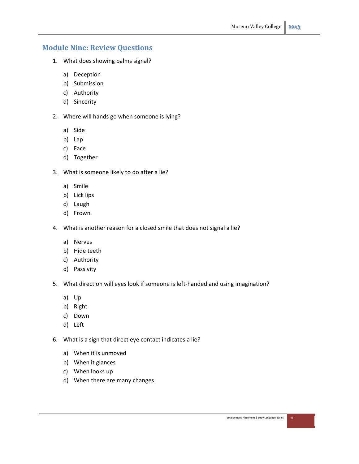## **Module Nine: Review Questions**

- 1. What does showing palms signal?
	- a) Deception
	- b) Submission
	- c) Authority
	- d) Sincerity
- 2. Where will hands go when someone is lying?
	- a) Side
	- b) Lap
	- c) Face
	- d) Together
- 3. What is someone likely to do after a lie?
	- a) Smile
	- b) Lick lips
	- c) Laugh
	- d) Frown
- 4. What is another reason for a closed smile that does not signal a lie?
	- a) Nerves
	- b) Hide teeth
	- c) Authority
	- d) Passivity
- 5. What direction will eyes look if someone is left-handed and using imagination?
	- a) Up
	- b) Right
	- c) Down
	- d) Left
- 6. What is a sign that direct eye contact indicates a lie?
	- a) When it is unmoved
	- b) When it glances
	- c) When looks up
	- d) When there are many changes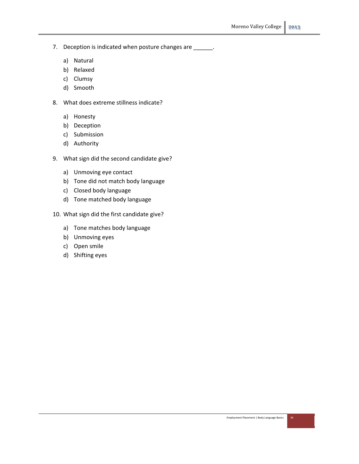- 7. Deception is indicated when posture changes are \_\_\_\_\_\_.
	- a) Natural
	- b) Relaxed
	- c) Clumsy
	- d) Smooth
- 8. What does extreme stillness indicate?
	- a) Honesty
	- b) Deception
	- c) Submission
	- d) Authority
- 9. What sign did the second candidate give?
	- a) Unmoving eye contact
	- b) Tone did not match body language
	- c) Closed body language
	- d) Tone matched body language
- 10. What sign did the first candidate give?
	- a) Tone matches body language
	- b) Unmoving eyes
	- c) Open smile
	- d) Shifting eyes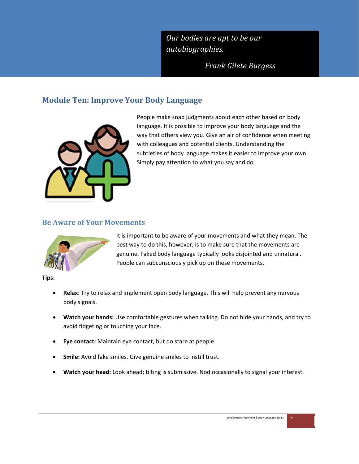*Our bodies are apt to be our autobiographies.*

*Frank Gilete Burgess*

## **Module Ten: Improve Your Body Language**



People make snap judgments about each other based on body language. It is possible to improve your body language and the way that others view you. Give an air of confidence when meeting with colleagues and potential clients. Understanding the subtleties of body language makes it easier to improve your own. Simply pay attention to what you say and do.

## **Be Aware of Your Movements**



It is important to be aware of your movements and what they mean. The best way to do this, however, is to make sure that the movements are genuine. Faked body language typically looks disjointed and unnatural. People can subconsciously pick up on these movements.

**Tips:**

- **Relax:** Try to relax and implement open body language. This will help prevent any nervous body signals.
- **Watch your hands:** Use comfortable gestures when talking. Do not hide your hands, and try to avoid fidgeting or touching your face.
- **Eye contact:** Maintain eye contact, but do stare at people.
- **Smile:** Avoid fake smiles. Give genuine smiles to instill trust.
- **Watch your head:** Look ahead; tilting is submissive. Nod occasionally to signal your interest.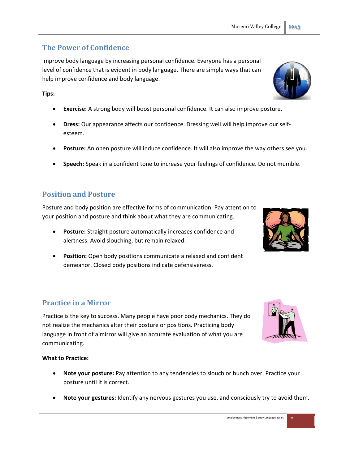## **The Power of Confidence**

Improve body language by increasing personal confidence. Everyone has a personal level of confidence that is evident in body language. There are simple ways that can help improve confidence and body language.

#### **Tips:**

- **Exercise:** A strong body will boost personal confidence. It can also improve posture.
- **Dress:** Our appearance affects our confidence. Dressing well will help improve our self‐ esteem.
- **Posture:** An open posture will induce confidence. It will also improve the way others see you.
- **Speech:** Speak in a confident tone to increase your feelings of confidence. Do not mumble.

## **Position and Posture**

Posture and body position are effective forms of communication. Pay attention to your position and posture and think about what they are communicating.

- **Posture:** Straight posture automatically increases confidence and alertness. Avoid slouching, but remain relaxed.
- **Position:** Open body positions communicate a relaxed and confident demeanor. Closed body positions indicate defensiveness.

## **Practice in a Mirror**

Practice is the key to success. Many people have poor body mechanics. They do not realize the mechanics alter their posture or positions. Practicing body language in front of a mirror will give an accurate evaluation of what you are communicating.

#### **What to Practice:**

- **Note your posture:** Pay attention to any tendencies to slouch or hunch over. Practice your posture until it is correct.
- **Note your gestures:** Identify any nervous gestures you use, and consciously try to avoid them.



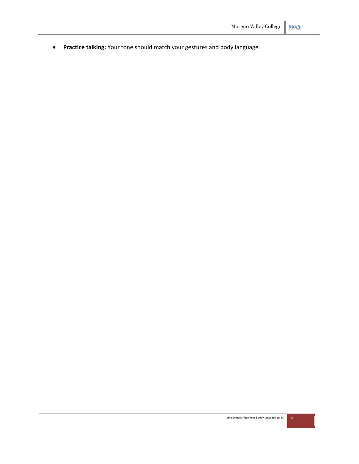**Practice talking:** Your tone should match your gestures and body language.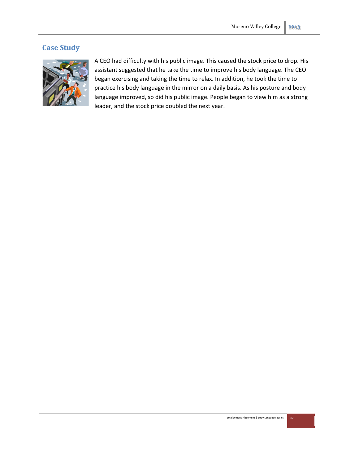## **Case Study**



A CEO had difficulty with his public image. This caused the stock price to drop. His assistant suggested that he take the time to improve his body language. The CEO began exercising and taking the time to relax. In addition, he took the time to practice his body language in the mirror on a daily basis. As his posture and body language improved, so did his public image. People began to view him as a strong leader, and the stock price doubled the next year.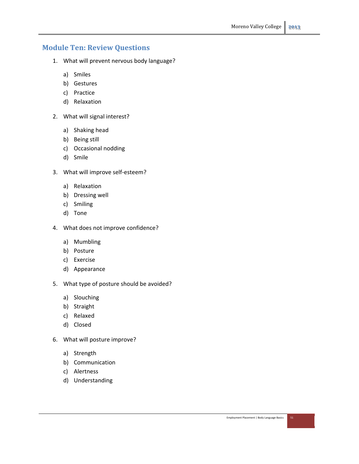## **Module Ten: Review Questions**

- 1. What will prevent nervous body language?
	- a) Smiles
	- b) Gestures
	- c) Practice
	- d) Relaxation
- 2. What will signal interest?
	- a) Shaking head
	- b) Being still
	- c) Occasional nodding
	- d) Smile
- 3. What will improve self‐esteem?
	- a) Relaxation
	- b) Dressing well
	- c) Smiling
	- d) Tone
- 4. What does not improve confidence?
	- a) Mumbling
	- b) Posture
	- c) Exercise
	- d) Appearance
- 5. What type of posture should be avoided?
	- a) Slouching
	- b) Straight
	- c) Relaxed
	- d) Closed
- 6. What will posture improve?
	- a) Strength
	- b) Communication
	- c) Alertness
	- d) Understanding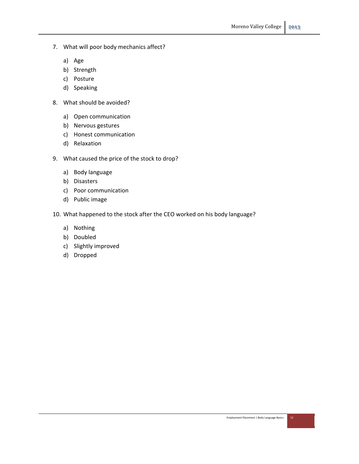- 7. What will poor body mechanics affect?
	- a) Age
	- b) Strength
	- c) Posture
	- d) Speaking
- 8. What should be avoided?
	- a) Open communication
	- b) Nervous gestures
	- c) Honest communication
	- d) Relaxation
- 9. What caused the price of the stock to drop?
	- a) Body language
	- b) Disasters
	- c) Poor communication
	- d) Public image
- 10. What happened to the stock after the CEO worked on his body language?
	- a) Nothing
	- b) Doubled
	- c) Slightly improved
	- d) Dropped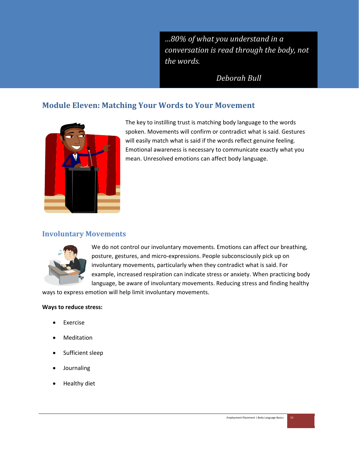*…80% of what you understand in a conversation is read through the body, not the words.*

*Deborah Bull*

## **Module Eleven: Matching Your Words to Your Movement**



The key to instilling trust is matching body language to the words spoken. Movements will confirm or contradict what is said. Gestures will easily match what is said if the words reflect genuine feeling. Emotional awareness is necessary to communicate exactly what you mean. Unresolved emotions can affect body language.

## **Involuntary Movements**



We do not control our involuntary movements. Emotions can affect our breathing, posture, gestures, and micro‐expressions. People subconsciously pick up on involuntary movements, particularly when they contradict what is said. For example, increased respiration can indicate stress or anxiety. When practicing body language, be aware of involuntary movements. Reducing stress and finding healthy

ways to express emotion will help limit involuntary movements.

#### **Ways to reduce stress:**

- Exercise
- Meditation
- Sufficient sleep
- Journaling
- Healthy diet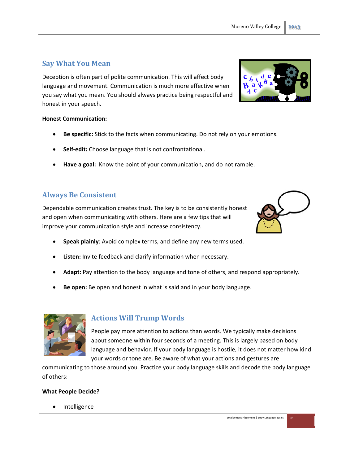#### Employment Placement | Body Language Basics 54

## **Say What You Mean**

Deception is often part of polite communication. This will affect body language and movement. Communication is much more effective when you say what you mean. You should always practice being respectful and honest in your speech.

#### **Honest Communication:**

- **Be specific:** Stick to the facts when communicating. Do not rely on your emotions.
- **Self‐edit:** Choose language that is not confrontational.
- **Have a goal:** Know the point of your communication, and do not ramble.

## **Always Be Consistent**

Dependable communication creates trust. The key is to be consistently honest and open when communicating with others. Here are a few tips that will improve your communication style and increase consistency.

- **Speak plainly**: Avoid complex terms, and define any new terms used.
- **Listen:** Invite feedback and clarify information when necessary.
- **Adapt:** Pay attention to the body language and tone of others, and respond appropriately.
- **Be open:** Be open and honest in what is said and in your body language.

## **Actions Will Trump Words**

People pay more attention to actions than words. We typically make decisions about someone within four seconds of a meeting. This is largely based on body language and behavior. If your body language is hostile, it does not matter how kind your words or tone are. Be aware of what your actions and gestures are

communicating to those around you. Practice your body language skills and decode the body language of others:

#### **What People Decide?**

Intelligence



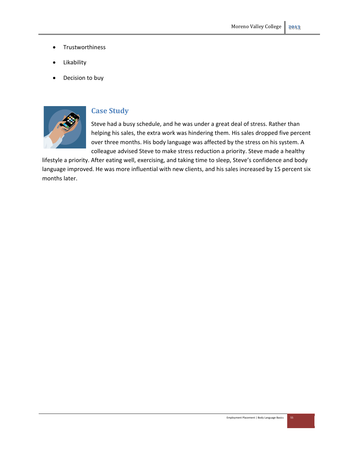- **•** Trustworthiness
- Likability
- Decision to buy



## **Case Study**

Steve had a busy schedule, and he was under a great deal of stress. Rather than helping his sales, the extra work was hindering them. His sales dropped five percent over three months. His body language was affected by the stress on his system. A colleague advised Steve to make stress reduction a priority. Steve made a healthy

lifestyle a priority. After eating well, exercising, and taking time to sleep, Steve's confidence and body language improved. He was more influential with new clients, and his sales increased by 15 percent six months later.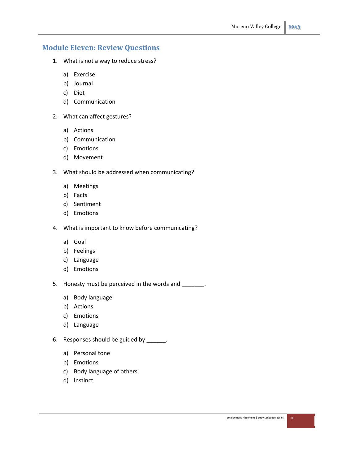## **Module Eleven: Review Questions**

- 1. What is not a way to reduce stress?
	- a) Exercise
	- b) Journal
	- c) Diet
	- d) Communication
- 2. What can affect gestures?
	- a) Actions
	- b) Communication
	- c) Emotions
	- d) Movement
- 3. What should be addressed when communicating?
	- a) Meetings
	- b) Facts
	- c) Sentiment
	- d) Emotions
- 4. What is important to know before communicating?
	- a) Goal
	- b) Feelings
	- c) Language
	- d) Emotions
- 5. Honesty must be perceived in the words and \_\_\_\_\_\_\_.
	- a) Body language
	- b) Actions
	- c) Emotions
	- d) Language
- 6. Responses should be guided by \_\_\_\_\_\_.
	- a) Personal tone
	- b) Emotions
	- c) Body language of others
	- d) Instinct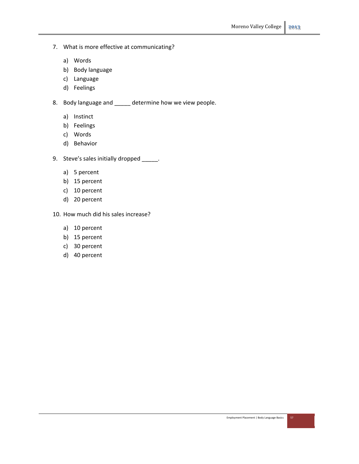- 7. What is more effective at communicating?
	- a) Words
	- b) Body language
	- c) Language
	- d) Feelings
- 8. Body language and \_\_\_\_\_ determine how we view people.
	- a) Instinct
	- b) Feelings
	- c) Words
	- d) Behavior
- 9. Steve's sales initially dropped \_\_\_\_\_.
	- a) 5 percent
	- b) 15 percent
	- c) 10 percent
	- d) 20 percent
- 10. How much did his sales increase?
	- a) 10 percent
	- b) 15 percent
	- c) 30 percent
	- d) 40 percent